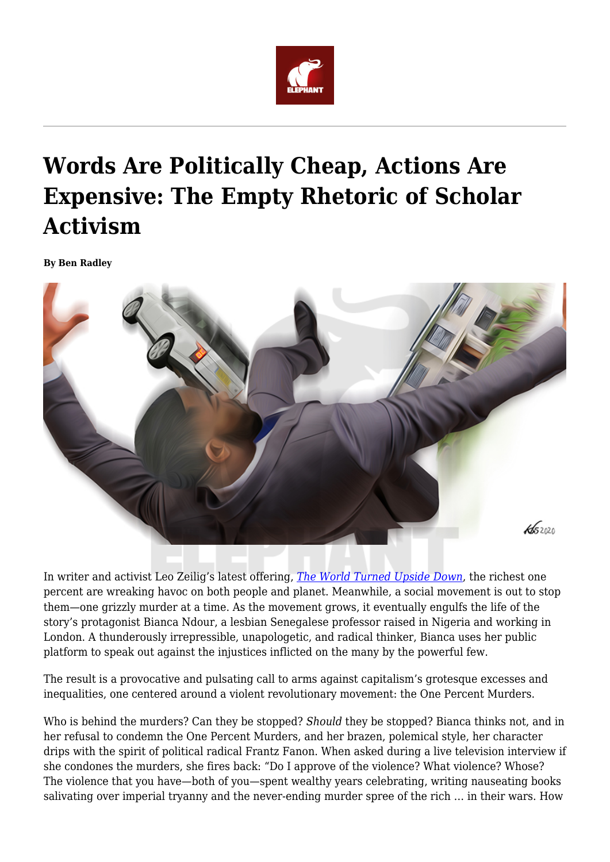

## **Words Are Politically Cheap, Actions Are Expensive: The Empty Rhetoric of Scholar Activism**

**By Ben Radley**



In writer and activist Leo Zeilig's latest offering, *[The World Turned Upside Down](https://ivavalleybooks.com/product/the-world-turned-upside-down/?v=330a840f8637)*, the richest one percent are wreaking havoc on both people and planet. Meanwhile, a social movement is out to stop them—one grizzly murder at a time. As the movement grows, it eventually engulfs the life of the story's protagonist Bianca Ndour, a lesbian Senegalese professor raised in Nigeria and working in London. A thunderously irrepressible, unapologetic, and radical thinker, Bianca uses her public platform to speak out against the injustices inflicted on the many by the powerful few.

The result is a provocative and pulsating call to arms against capitalism's grotesque excesses and inequalities, one centered around a violent revolutionary movement: the One Percent Murders.

Who is behind the murders? Can they be stopped? *Should* they be stopped? Bianca thinks not, and in her refusal to condemn the One Percent Murders, and her brazen, polemical style, her character drips with the spirit of political radical Frantz Fanon. When asked during a live television interview if she condones the murders, she fires back: "Do I approve of the violence? What violence? Whose? The violence that you have—both of you—spent wealthy years celebrating, writing nauseating books salivating over imperial tryanny and the never-ending murder spree of the rich … in their wars. How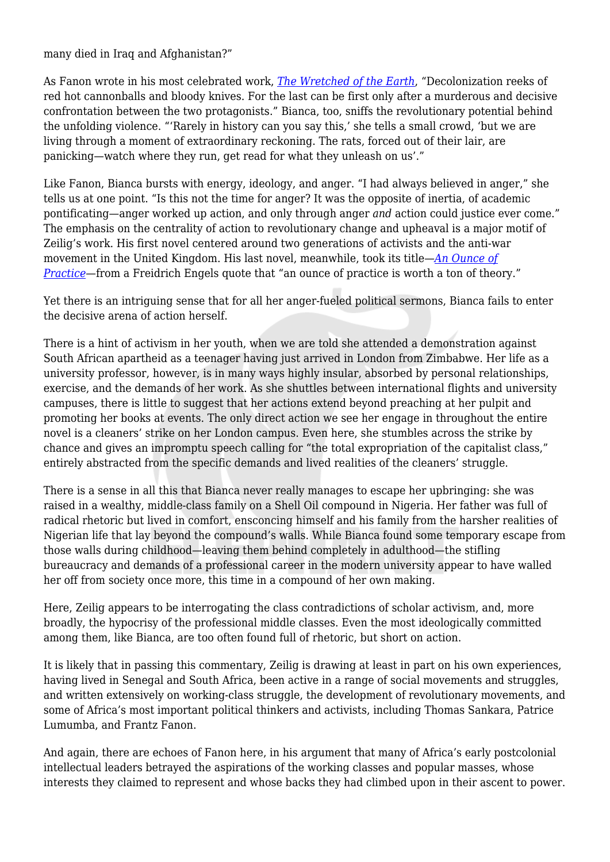many died in Iraq and Afghanistan?"

As Fanon wrote in his most celebrated work, *[The Wretched of the Earth](https://www.worldofbooks.com/en-gb/books/frantz-fanon/wretched-of-the-earth/9780802141323)*, "Decolonization reeks of red hot cannonballs and bloody knives. For the last can be first only after a murderous and decisive confrontation between the two protagonists." Bianca, too, sniffs the revolutionary potential behind the unfolding violence. "'Rarely in history can you say this,' she tells a small crowd, 'but we are living through a moment of extraordinary reckoning. The rats, forced out of their lair, are panicking—watch where they run, get read for what they unleash on us'."

Like Fanon, Bianca bursts with energy, ideology, and anger. "I had always believed in anger," she tells us at one point. "Is this not the time for anger? It was the opposite of inertia, of academic pontificating—anger worked up action, and only through anger *and* action could justice ever come." The emphasis on the centrality of action to revolutionary change and upheaval is a major motif of Zeilig's work. His first novel centered around two generations of activists and the anti-war movement in the United Kingdom. His last novel, meanwhile, took its title—*[An Ounce of](https://www.hoperoadpublishing.com/an-ounce-of-practice) [Practice—](https://www.hoperoadpublishing.com/an-ounce-of-practice)*from a Freidrich Engels quote that "an ounce of practice is worth a ton of theory."

Yet there is an intriguing sense that for all her anger-fueled political sermons, Bianca fails to enter the decisive arena of action herself.

There is a hint of activism in her youth, when we are told she attended a demonstration against South African apartheid as a teenager having just arrived in London from Zimbabwe. Her life as a university professor, however, is in many ways highly insular, absorbed by personal relationships, exercise, and the demands of her work. As she shuttles between international flights and university campuses, there is little to suggest that her actions extend beyond preaching at her pulpit and promoting her books at events. The only direct action we see her engage in throughout the entire novel is a cleaners' strike on her London campus. Even here, she stumbles across the strike by chance and gives an impromptu speech calling for "the total expropriation of the capitalist class," entirely abstracted from the specific demands and lived realities of the cleaners' struggle.

There is a sense in all this that Bianca never really manages to escape her upbringing: she was raised in a wealthy, middle-class family on a Shell Oil compound in Nigeria. Her father was full of radical rhetoric but lived in comfort, ensconcing himself and his family from the harsher realities of Nigerian life that lay beyond the compound's walls. While Bianca found some temporary escape from those walls during childhood—leaving them behind completely in adulthood—the stifling bureaucracy and demands of a professional career in the modern university appear to have walled her off from society once more, this time in a compound of her own making.

Here, Zeilig appears to be interrogating the class contradictions of scholar activism, and, more broadly, the hypocrisy of the professional middle classes. Even the most ideologically committed among them, like Bianca, are too often found full of rhetoric, but short on action.

It is likely that in passing this commentary, Zeilig is drawing at least in part on his own experiences, having lived in Senegal and South Africa, been active in a range of social movements and struggles, and written extensively on working-class struggle, the development of revolutionary movements, and some of Africa's most important political thinkers and activists, including Thomas Sankara, Patrice Lumumba, and Frantz Fanon.

And again, there are echoes of Fanon here, in his argument that many of Africa's early postcolonial intellectual leaders betrayed the aspirations of the working classes and popular masses, whose interests they claimed to represent and whose backs they had climbed upon in their ascent to power.